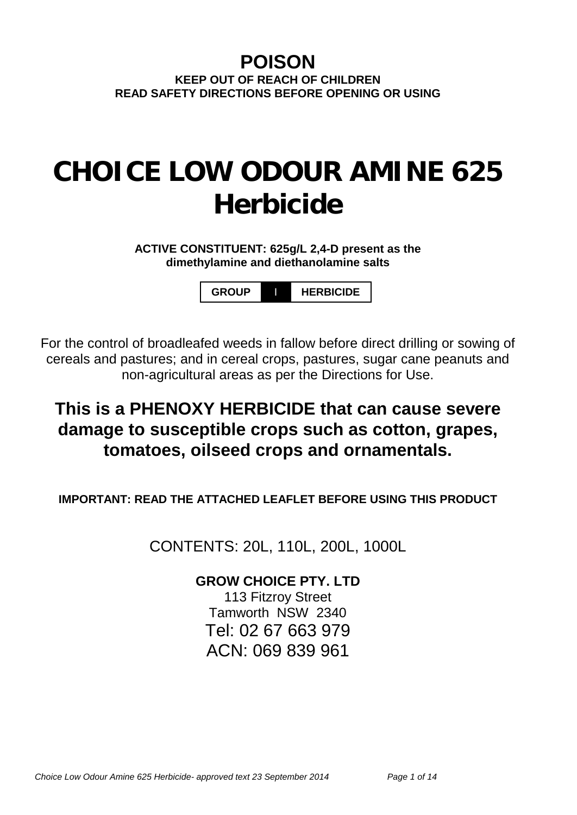## **POISON KEEP OUT OF REACH OF CHILDREN READ SAFETY DIRECTIONS BEFORE OPENING OR USING**

# **CHOICE LOW ODOUR AMINE 625 Herbicide**

**ACTIVE CONSTITUENT: 625g/L 2,4-D present as the dimethylamine and diethanolamine salts**

**GROUP** I **HERBICIDE**

For the control of broadleafed weeds in fallow before direct drilling or sowing of cereals and pastures; and in cereal crops, pastures, sugar cane peanuts and non-agricultural areas as per the Directions for Use.

# **This is a PHENOXY HERBICIDE that can cause severe damage to susceptible crops such as cotton, grapes, tomatoes, oilseed crops and ornamentals.**

**IMPORTANT: READ THE ATTACHED LEAFLET BEFORE USING THIS PRODUCT**

CONTENTS: 20L, 110L, 200L, 1000L

## **GROW CHOICE PTY. LTD**

113 Fitzroy Street Tamworth NSW 2340 Tel: 02 67 663 979 ACN: 069 839 961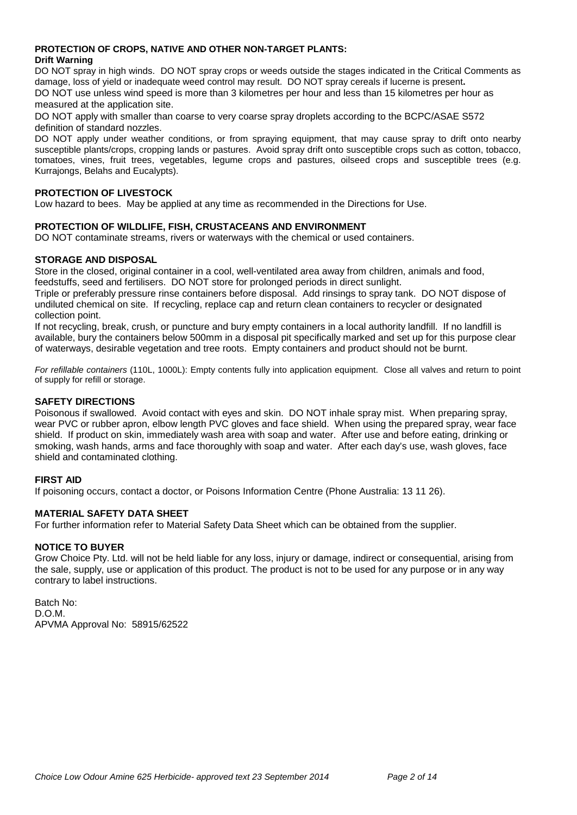#### **PROTECTION OF CROPS, NATIVE AND OTHER NON-TARGET PLANTS: Drift Warning**

DO NOT spray in high winds. DO NOT spray crops or weeds outside the stages indicated in the Critical Comments as damage, loss of yield or inadequate weed control may result. DO NOT spray cereals if lucerne is present**.** DO NOT use unless wind speed is more than 3 kilometres per hour and less than 15 kilometres per hour as

measured at the application site.

DO NOT apply with smaller than coarse to very coarse spray droplets according to the BCPC/ASAE S572 definition of standard nozzles.

DO NOT apply under weather conditions, or from spraying equipment, that may cause spray to drift onto nearby susceptible plants/crops, cropping lands or pastures.Avoid spray drift onto susceptible crops such as cotton, tobacco, tomatoes, vines, fruit trees, vegetables, legume crops and pastures, oilseed crops and susceptible trees (e.g. Kurrajongs, Belahs and Eucalypts).

#### **PROTECTION OF LIVESTOCK**

Low hazard to bees. May be applied at any time as recommended in the Directions for Use.

#### **PROTECTION OF WILDLIFE, FISH, CRUSTACEANS AND ENVIRONMENT**

DO NOT contaminate streams, rivers or waterways with the chemical or used containers.

#### **STORAGE AND DISPOSAL**

Store in the closed, original container in a cool, well-ventilated area away from children, animals and food, feedstuffs, seed and fertilisers. DO NOT store for prolonged periods in direct sunlight.

Triple or preferably pressure rinse containers before disposal. Add rinsings to spray tank. DO NOT dispose of undiluted chemical on site. If recycling, replace cap and return clean containers to recycler or designated collection point.

If not recycling, break, crush, or puncture and bury empty containers in a local authority landfill. If no landfill is available, bury the containers below 500mm in a disposal pit specifically marked and set up for this purpose clear of waterways, desirable vegetation and tree roots. Empty containers and product should not be burnt.

*For refillable containers* (110L, 1000L): Empty contents fully into application equipment. Close all valves and return to point of supply for refill or storage.

#### **SAFETY DIRECTIONS**

Poisonous if swallowed. Avoid contact with eyes and skin. DO NOT inhale spray mist. When preparing spray, wear PVC or rubber apron, elbow length PVC gloves and face shield. When using the prepared spray, wear face shield. If product on skin, immediately wash area with soap and water. After use and before eating, drinking or smoking, wash hands, arms and face thoroughly with soap and water. After each day's use, wash gloves, face shield and contaminated clothing.

#### **FIRST AID**

If poisoning occurs, contact a doctor, or Poisons Information Centre (Phone Australia: 13 11 26).

#### **MATERIAL SAFETY DATA SHEET**

For further information refer to Material Safety Data Sheet which can be obtained from the supplier.

#### **NOTICE TO BUYER**

Grow Choice Pty. Ltd. will not be held liable for any loss, injury or damage, indirect or consequential, arising from the sale, supply, use or application of this product. The product is not to be used for any purpose or in any way contrary to label instructions.

Batch No: D.O.M. APVMA Approval No: 58915/62522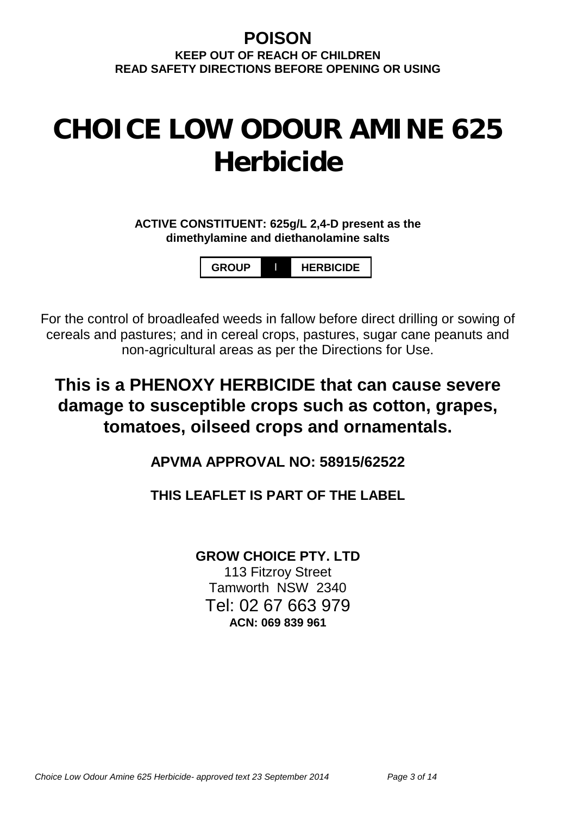# **POISON**

**KEEP OUT OF REACH OF CHILDREN READ SAFETY DIRECTIONS BEFORE OPENING OR USING**

# **CHOICE LOW ODOUR AMINE 625 Herbicide**

**ACTIVE CONSTITUENT: 625g/L 2,4-D present as the dimethylamine and diethanolamine salts**

**GROUP** I **HERBICIDE**

For the control of broadleafed weeds in fallow before direct drilling or sowing of cereals and pastures; and in cereal crops, pastures, sugar cane peanuts and non-agricultural areas as per the Directions for Use.

**This is a PHENOXY HERBICIDE that can cause severe damage to susceptible crops such as cotton, grapes, tomatoes, oilseed crops and ornamentals.**

**APVMA APPROVAL NO: 58915/62522**

## **THIS LEAFLET IS PART OF THE LABEL**

**GROW CHOICE PTY. LTD**

113 Fitzroy Street Tamworth NSW 2340 Tel: 02 67 663 979 **ACN: 069 839 961**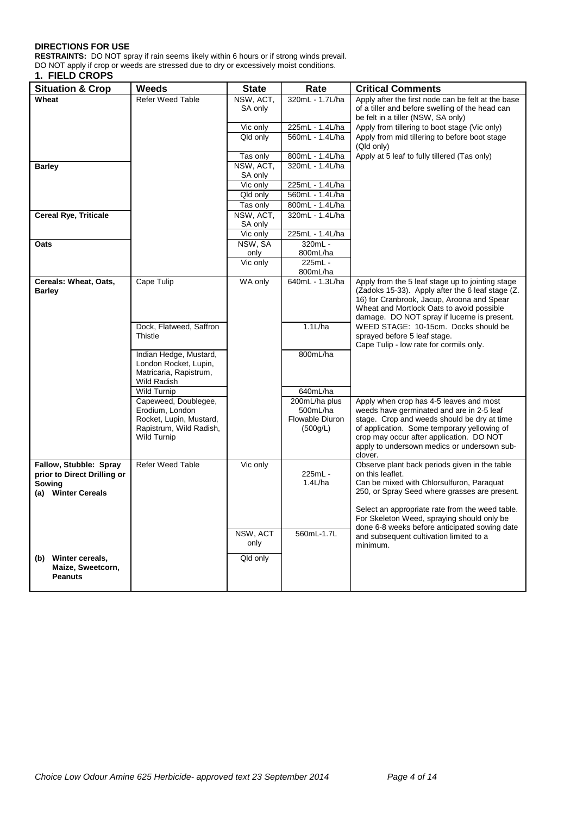#### **DIRECTIONS FOR USE**

**RESTRAINTS:** DO NOT spray if rain seems likely within 6 hours or if strong winds prevail. DO NOT apply if crop or weeds are stressed due to dry or excessively moist conditions.

#### **1. FIELD CROPS**

| <b>Situation &amp; Crop</b>                           | <b>Weeds</b>                               | <b>State</b>           | Rate                               | <b>Critical Comments</b>                                                                       |
|-------------------------------------------------------|--------------------------------------------|------------------------|------------------------------------|------------------------------------------------------------------------------------------------|
| Wheat                                                 | <b>Refer Weed Table</b>                    | NSW, ACT,              | 320mL - 1.7L/ha                    | Apply after the first node can be felt at the base                                             |
|                                                       |                                            | SA only                |                                    | of a tiller and before swelling of the head can<br>be felt in a tiller (NSW, SA only)          |
|                                                       |                                            | Vic only               | 225mL - 1.4L/ha                    | Apply from tillering to boot stage (Vic only)                                                  |
|                                                       |                                            | Qld only               | 560mL - 1.4L/ha                    | Apply from mid tillering to before boot stage<br>(Qld only)                                    |
|                                                       |                                            | Tas only               | 800mL - 1.4L/ha                    | Apply at 5 leaf to fully tillered (Tas only)                                                   |
| <b>Barley</b>                                         |                                            | NSW, ACT,              | 320mL - 1.4L/ha                    |                                                                                                |
|                                                       |                                            | SA only                |                                    |                                                                                                |
|                                                       |                                            | Vic only               | 225mL - 1.4L/ha                    |                                                                                                |
|                                                       |                                            | $\overline{Q}$ ld only | 560mL - 1.4L/ha                    |                                                                                                |
|                                                       |                                            | Tas only               | 800mL - 1.4L/ha<br>320mL - 1.4L/ha |                                                                                                |
| <b>Cereal Rye, Triticale</b>                          |                                            | NSW, ACT,<br>SA only   |                                    |                                                                                                |
|                                                       |                                            | Vic only               | 225mL - 1.4L/ha                    |                                                                                                |
| Oats                                                  |                                            | NSW, SA                | 320mL -                            |                                                                                                |
|                                                       |                                            | only                   | 800mL/ha                           |                                                                                                |
|                                                       |                                            | Vic only               | 225mL -                            |                                                                                                |
|                                                       |                                            |                        | 800mL/ha                           |                                                                                                |
| Cereals: Wheat, Oats,                                 | Cape Tulip                                 | WA only                | 640mL - 1.3L/ha                    | Apply from the 5 leaf stage up to jointing stage                                               |
| <b>Barley</b>                                         |                                            |                        |                                    | (Zadoks 15-33). Apply after the 6 leaf stage (Z.<br>16) for Cranbrook, Jacup, Aroona and Spear |
|                                                       |                                            |                        |                                    | Wheat and Mortlock Oats to avoid possible                                                      |
|                                                       |                                            |                        |                                    | damage. DO NOT spray if lucerne is present.                                                    |
|                                                       | Dock, Flatweed, Saffron                    |                        | 1.1L/ha                            | WEED STAGE: 10-15cm. Docks should be                                                           |
|                                                       | Thistle                                    |                        |                                    | sprayed before 5 leaf stage.                                                                   |
|                                                       | Indian Hedge, Mustard,                     |                        | 800mL/ha                           | Cape Tulip - low rate for cormils only.                                                        |
|                                                       | London Rocket, Lupin,                      |                        |                                    |                                                                                                |
|                                                       | Matricaria, Rapistrum,                     |                        |                                    |                                                                                                |
|                                                       | Wild Radish                                |                        |                                    |                                                                                                |
|                                                       | <b>Wild Turnip</b>                         |                        | 640mL/ha                           |                                                                                                |
|                                                       | Capeweed, Doublegee,                       |                        | 200mL/ha plus                      | Apply when crop has 4-5 leaves and most                                                        |
|                                                       | Erodium, London<br>Rocket, Lupin, Mustard, |                        | 500mL/ha<br>Flowable Diuron        | weeds have germinated and are in 2-5 leaf<br>stage. Crop and weeds should be dry at time       |
|                                                       | Rapistrum, Wild Radish,                    |                        | (500g/L)                           | of application. Some temporary yellowing of                                                    |
|                                                       | <b>Wild Turnip</b>                         |                        |                                    | crop may occur after application. DO NOT                                                       |
|                                                       |                                            |                        |                                    | apply to undersown medics or undersown sub-                                                    |
|                                                       |                                            |                        |                                    | clover.                                                                                        |
| Fallow, Stubble: Spray<br>prior to Direct Drilling or | <b>Refer Weed Table</b>                    | Vic only               | 225mL -                            | Observe plant back periods given in the table<br>on this leaflet.                              |
| Sowing                                                |                                            |                        | 1.4L/ha                            | Can be mixed with Chlorsulfuron, Paraquat                                                      |
| (a) Winter Cereals                                    |                                            |                        |                                    | 250, or Spray Seed where grasses are present.                                                  |
|                                                       |                                            |                        |                                    |                                                                                                |
|                                                       |                                            |                        |                                    | Select an appropriate rate from the weed table.                                                |
|                                                       |                                            |                        |                                    | For Skeleton Weed, spraying should only be<br>done 6-8 weeks before anticipated sowing date    |
|                                                       |                                            | NSW, ACT               | 560mL-1.7L                         | and subsequent cultivation limited to a                                                        |
|                                                       |                                            | only                   |                                    | minimum.                                                                                       |
| Winter cereals,<br>(b)                                |                                            | Qld only               |                                    |                                                                                                |
| Maize, Sweetcorn,                                     |                                            |                        |                                    |                                                                                                |
| <b>Peanuts</b>                                        |                                            |                        |                                    |                                                                                                |
|                                                       |                                            |                        |                                    |                                                                                                |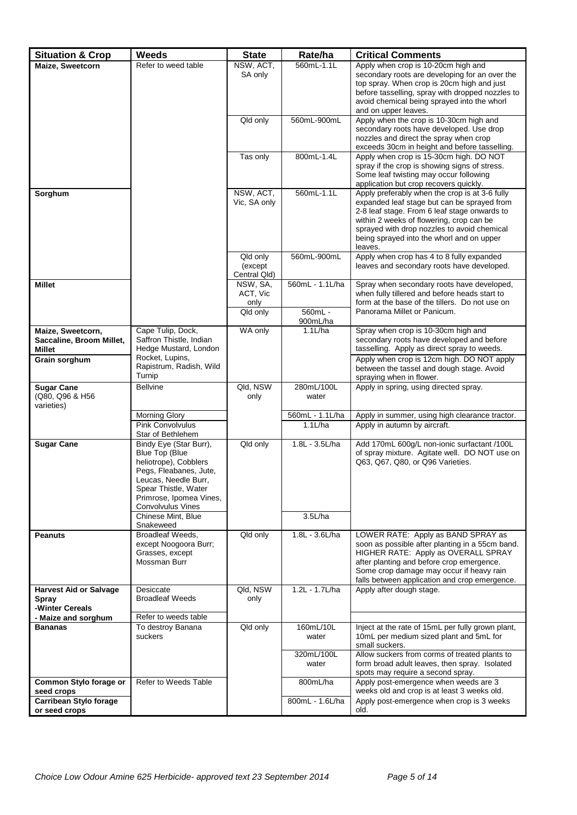| <b>Situation &amp; Crop</b>            | <b>Weeds</b>                                 | <b>State</b>         | Rate/ha             | <b>Critical Comments</b>                                                                     |
|----------------------------------------|----------------------------------------------|----------------------|---------------------|----------------------------------------------------------------------------------------------|
| Maize, Sweetcorn                       | Refer to weed table                          | NSW, ACT,            | 560mL-1.1L          | Apply when crop is 10-20cm high and                                                          |
|                                        |                                              | SA only              |                     | secondary roots are developing for an over the<br>top spray. When crop is 20cm high and just |
|                                        |                                              |                      |                     | before tasselling, spray with dropped nozzles to                                             |
|                                        |                                              |                      |                     | avoid chemical being sprayed into the whorl                                                  |
|                                        |                                              |                      |                     | and on upper leaves.                                                                         |
|                                        |                                              | Qld only             | 560mL-900mL         | Apply when the crop is 10-30cm high and<br>secondary roots have developed. Use drop          |
|                                        |                                              |                      |                     | nozzles and direct the spray when crop                                                       |
|                                        |                                              |                      |                     | exceeds 30cm in height and before tasselling.                                                |
|                                        |                                              | Tas only             | 800mL-1.4L          | Apply when crop is 15-30cm high. DO NOT                                                      |
|                                        |                                              |                      |                     | spray if the crop is showing signs of stress.<br>Some leaf twisting may occur following      |
|                                        |                                              |                      |                     | application but crop recovers quickly.                                                       |
| Sorghum                                |                                              | NSW, ACT,            | 560mL-1.1L          | Apply preferably when the crop is at 3-6 fully                                               |
|                                        |                                              | Vic, SA only         |                     | expanded leaf stage but can be sprayed from<br>2-8 leaf stage. From 6 leaf stage onwards to  |
|                                        |                                              |                      |                     | within 2 weeks of flowering, crop can be                                                     |
|                                        |                                              |                      |                     | sprayed with drop nozzles to avoid chemical                                                  |
|                                        |                                              |                      |                     | being sprayed into the whorl and on upper<br>leaves.                                         |
|                                        |                                              | Qld only             | 560mL-900mL         | Apply when crop has 4 to 8 fully expanded                                                    |
|                                        |                                              | (except)             |                     | leaves and secondary roots have developed.                                                   |
|                                        |                                              | Central Qld)         | 560mL - 1.1L/ha     |                                                                                              |
| <b>Millet</b>                          |                                              | NSW, SA,<br>ACT, Vic |                     | Spray when secondary roots have developed,<br>when fully tillered and before heads start to  |
|                                        |                                              | only                 |                     | form at the base of the tillers. Do not use on                                               |
|                                        |                                              | Qld only             | 560mL -             | Panorama Millet or Panicum.                                                                  |
| Maize, Sweetcorn,                      | Cape Tulip, Dock,                            | WA only              | 900mL/ha<br>1.1L/ha | Spray when crop is 10-30cm high and                                                          |
| Saccaline, Broom Millet,               | Saffron Thistle, Indian                      |                      |                     | secondary roots have developed and before                                                    |
| Millet                                 | Hedge Mustard, London                        |                      |                     | tasselling. Apply as direct spray to weeds.                                                  |
| Grain sorghum                          | Rocket, Lupins,<br>Rapistrum, Radish, Wild   |                      |                     | Apply when crop is 12cm high. DO NOT apply                                                   |
|                                        | Turnip                                       |                      |                     | between the tassel and dough stage. Avoid<br>spraying when in flower.                        |
| <b>Sugar Cane</b>                      | <b>Bellvine</b>                              | Qld, NSW             | 280mL/100L          | Apply in spring, using directed spray.                                                       |
| (Q80, Q96 & H56<br>varieties)          |                                              | only                 | water               |                                                                                              |
|                                        | <b>Morning Glory</b>                         |                      | 560mL - 1.1L/ha     | Apply in summer, using high clearance tractor.                                               |
|                                        | <b>Pink Convolvulus</b>                      |                      | 1.1L/ha             | Apply in autumn by aircraft.                                                                 |
|                                        | Star of Bethlehem                            |                      | 1.8L - 3.5L/ha      | Add 170mL 600g/L non-ionic surfactant /100L                                                  |
| <b>Sugar Cane</b>                      | Bindy Eye (Star Burr),<br>Blue Top (Blue     | Qld only             |                     | of spray mixture. Agitate well. DO NOT use on                                                |
|                                        | heliotrope), Cobblers                        |                      |                     | Q63, Q67, Q80, or Q96 Varieties.                                                             |
|                                        | Pegs, Fleabanes, Jute,                       |                      |                     |                                                                                              |
|                                        | Leucas, Needle Burr,<br>Spear Thistle, Water |                      |                     |                                                                                              |
|                                        | Primrose, Ipomea Vines,                      |                      |                     |                                                                                              |
|                                        | <b>Convolvulus Vines</b>                     |                      |                     |                                                                                              |
|                                        | Chinese Mint. Blue<br>Snakeweed              |                      | 3.5L/ha             |                                                                                              |
| <b>Peanuts</b>                         | Broadleaf Weeds,                             | Qld only             | 1.8L - 3.6L/ha      | LOWER RATE: Apply as BAND SPRAY as                                                           |
|                                        | except Noogoora Burr;                        |                      |                     | soon as possible after planting in a 55cm band.                                              |
|                                        | Grasses, except<br>Mossman Burr              |                      |                     | HIGHER RATE: Apply as OVERALL SPRAY<br>after planting and before crop emergence.             |
|                                        |                                              |                      |                     | Some crop damage may occur if heavy rain                                                     |
|                                        |                                              |                      | $1.2L - 1.7L/ha$    | falls between application and crop emergence.                                                |
| <b>Harvest Aid or Salvage</b><br>Spray | Desiccate<br><b>Broadleaf Weeds</b>          | Qld, NSW<br>only     |                     | Apply after dough stage.                                                                     |
| -Winter Cereals                        |                                              |                      |                     |                                                                                              |
| - Maize and sorghum                    | Refer to weeds table                         |                      |                     |                                                                                              |
| <b>Bananas</b>                         | To destroy Banana<br>suckers                 | Qld only             | 160mL/10L<br>water  | Inject at the rate of 15mL per fully grown plant,<br>10mL per medium sized plant and 5mL for |
|                                        |                                              |                      |                     | small suckers.                                                                               |
|                                        |                                              |                      | 320mL/100L          | Allow suckers from corms of treated plants to                                                |
|                                        |                                              |                      | water               | form broad adult leaves, then spray. Isolated<br>spots may require a second spray.           |
| Common Stylo forage or                 | Refer to Weeds Table                         |                      | 800mL/ha            | Apply post-emergence when weeds are 3                                                        |
| seed crops                             |                                              |                      |                     | weeks old and crop is at least 3 weeks old.                                                  |
| <b>Carribean Stylo forage</b>          |                                              |                      | 800mL - 1.6L/ha     | Apply post-emergence when crop is 3 weeks                                                    |
| or seed crops                          |                                              |                      |                     | old.                                                                                         |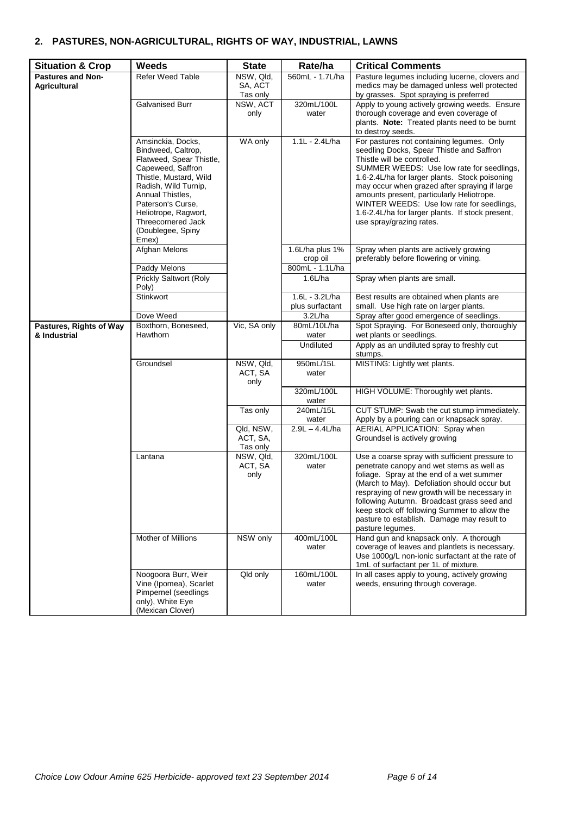### **2. PASTURES, NON-AGRICULTURAL, RIGHTS OF WAY, INDUSTRIAL, LAWNS**

| <b>Situation &amp; Crop</b>                     | <b>Weeds</b>                                                                                                                                                                                                                                                    | <b>State</b>                      | Rate/ha                                        | <b>Critical Comments</b>                                                                                                                                                                                                                                                                                                                                                                                                                        |  |
|-------------------------------------------------|-----------------------------------------------------------------------------------------------------------------------------------------------------------------------------------------------------------------------------------------------------------------|-----------------------------------|------------------------------------------------|-------------------------------------------------------------------------------------------------------------------------------------------------------------------------------------------------------------------------------------------------------------------------------------------------------------------------------------------------------------------------------------------------------------------------------------------------|--|
| <b>Pastures and Non-</b><br><b>Agricultural</b> | <b>Refer Weed Table</b>                                                                                                                                                                                                                                         | NSW, Qld,<br>SA, ACT<br>Tas only  | 560mL - 1.7L/ha                                | Pasture legumes including lucerne, clovers and<br>medics may be damaged unless well protected<br>by grasses. Spot spraying is preferred                                                                                                                                                                                                                                                                                                         |  |
|                                                 | <b>Galvanised Burr</b>                                                                                                                                                                                                                                          | NSW, ACT<br>only                  | 320mL/100L<br>water                            | Apply to young actively growing weeds. Ensure<br>thorough coverage and even coverage of<br>plants. Note: Treated plants need to be burnt<br>to destroy seeds.                                                                                                                                                                                                                                                                                   |  |
|                                                 | Amsinckia, Docks,<br>Bindweed, Caltrop,<br>Flatweed, Spear Thistle,<br>Capeweed, Saffron<br>Thistle, Mustard, Wild<br>Radish, Wild Turnip,<br>Annual Thistles,<br>Paterson's Curse,<br>Heliotrope, Ragwort,<br>Threecornered Jack<br>(Doublegee, Spiny<br>Emex) | WA only                           | $1.1L - 2.4L/ha$                               | For pastures not containing legumes. Only<br>seedling Docks, Spear Thistle and Saffron<br>Thistle will be controlled.<br>SUMMER WEEDS: Use low rate for seedlings,<br>1.6-2.4L/ha for larger plants. Stock poisoning<br>may occur when grazed after spraying if large<br>amounts present, particularly Heliotrope.<br>WINTER WEEDS: Use low rate for seedlings,<br>1.6-2.4L/ha for larger plants. If stock present,<br>use spray/grazing rates. |  |
|                                                 | <b>Afghan Melons</b><br>Paddy Melons                                                                                                                                                                                                                            |                                   | 1.6L/ha plus 1%<br>crop oil<br>800mL - 1.1L/ha | Spray when plants are actively growing<br>preferably before flowering or vining.                                                                                                                                                                                                                                                                                                                                                                |  |
|                                                 | Prickly Saltwort (Roly<br>Poly)                                                                                                                                                                                                                                 |                                   | $1.6$ L/ha                                     | Spray when plants are small.                                                                                                                                                                                                                                                                                                                                                                                                                    |  |
|                                                 | Stinkwort                                                                                                                                                                                                                                                       |                                   | 1.6L - 3.2L/ha<br>plus surfactant              | Best results are obtained when plants are<br>small. Use high rate on larger plants.                                                                                                                                                                                                                                                                                                                                                             |  |
|                                                 | Dove Weed                                                                                                                                                                                                                                                       |                                   | 3.2L/ha                                        | Spray after good emergence of seedlings.                                                                                                                                                                                                                                                                                                                                                                                                        |  |
| Pastures, Rights of Way<br>& Industrial         | Boxthorn, Boneseed,<br>Hawthorn                                                                                                                                                                                                                                 | Vic, SA only                      | 80mL/10L/ha<br>water                           | Spot Spraying. For Boneseed only, thoroughly<br>wet plants or seedlings.                                                                                                                                                                                                                                                                                                                                                                        |  |
|                                                 |                                                                                                                                                                                                                                                                 |                                   | Undiluted                                      | Apply as an undiluted spray to freshly cut<br>stumps.                                                                                                                                                                                                                                                                                                                                                                                           |  |
|                                                 | Groundsel                                                                                                                                                                                                                                                       | NSW, Qld,<br>ACT, SA<br>only      | 950mL/15L<br>water                             | MISTING: Lightly wet plants.                                                                                                                                                                                                                                                                                                                                                                                                                    |  |
|                                                 |                                                                                                                                                                                                                                                                 |                                   | 320mL/100L<br>water                            | HIGH VOLUME: Thoroughly wet plants.                                                                                                                                                                                                                                                                                                                                                                                                             |  |
|                                                 |                                                                                                                                                                                                                                                                 | Tas only                          | 240mL/15L<br>water                             | CUT STUMP: Swab the cut stump immediately.<br>Apply by a pouring can or knapsack spray.                                                                                                                                                                                                                                                                                                                                                         |  |
|                                                 |                                                                                                                                                                                                                                                                 | Qld, NSW,<br>ACT, SA,<br>Tas only | $2.9L - 4.4L/ha$                               | AERIAL APPLICATION: Spray when<br>Groundsel is actively growing                                                                                                                                                                                                                                                                                                                                                                                 |  |
|                                                 | Lantana                                                                                                                                                                                                                                                         | NSW, Qld,<br>ACT, SA<br>only      | 320mL/100L<br>water                            | Use a coarse spray with sufficient pressure to<br>penetrate canopy and wet stems as well as<br>foliage. Spray at the end of a wet summer<br>(March to May). Defoliation should occur but<br>respraying of new growth will be necessary in<br>following Autumn. Broadcast grass seed and<br>keep stock off following Summer to allow the<br>pasture to establish. Damage may result to<br>pasture legumes.                                       |  |
|                                                 | Mother of Millions                                                                                                                                                                                                                                              | NSW only                          | 400mL/100L<br>water                            | Hand gun and knapsack only. A thorough<br>coverage of leaves and plantlets is necessary.<br>Use 1000q/L non-ionic surfactant at the rate of<br>1mL of surfactant per 1L of mixture.                                                                                                                                                                                                                                                             |  |
|                                                 | Noogoora Burr, Weir<br>Vine (Ipomea), Scarlet<br>Pimpernel (seedlings<br>only), White Eye<br>(Mexican Clover)                                                                                                                                                   | Qld only                          | 160mL/100L<br>water                            | In all cases apply to young, actively growing<br>weeds, ensuring through coverage.                                                                                                                                                                                                                                                                                                                                                              |  |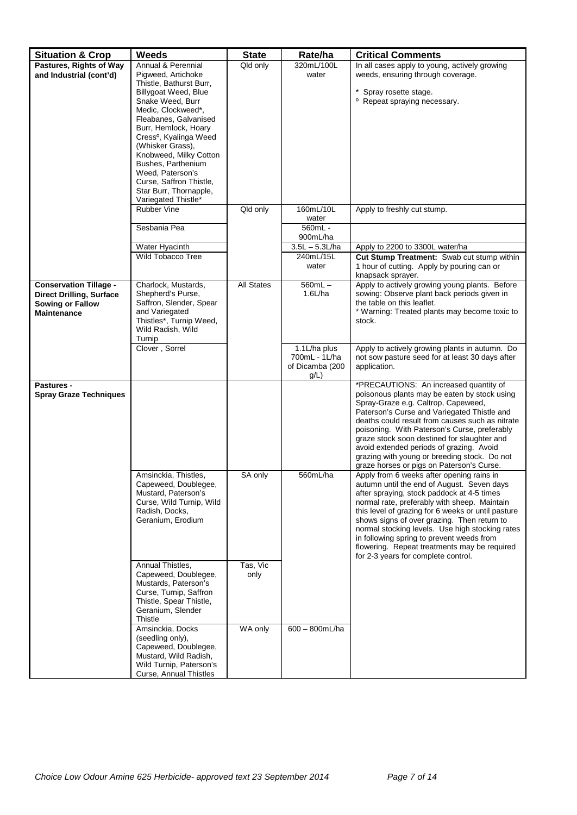| <b>Situation &amp; Crop</b>                   | Weeds                                             | <b>State</b>      | Rate/ha             | <b>Critical Comments</b>                                                                                      |
|-----------------------------------------------|---------------------------------------------------|-------------------|---------------------|---------------------------------------------------------------------------------------------------------------|
| Pastures, Rights of Way                       | Annual & Perennial                                | Qld only          | 320mL/100L          | In all cases apply to young, actively growing                                                                 |
| and Industrial (cont'd)                       | Pigweed, Artichoke                                |                   | water               | weeds, ensuring through coverage.                                                                             |
|                                               | Thistle, Bathurst Burr,<br>Billygoat Weed, Blue   |                   |                     | * Spray rosette stage.                                                                                        |
|                                               | Snake Weed, Burr                                  |                   |                     | <sup>o</sup> Repeat spraying necessary.                                                                       |
|                                               | Medic, Clockweed*,                                |                   |                     |                                                                                                               |
|                                               | Fleabanes, Galvanised<br>Burr, Hemlock, Hoary     |                   |                     |                                                                                                               |
|                                               | Cress <sup>o</sup> , Kyalinga Weed                |                   |                     |                                                                                                               |
|                                               | (Whisker Grass).                                  |                   |                     |                                                                                                               |
|                                               | Knobweed, Milky Cotton                            |                   |                     |                                                                                                               |
|                                               | Bushes, Parthenium<br>Weed, Paterson's            |                   |                     |                                                                                                               |
|                                               | Curse, Saffron Thistle,                           |                   |                     |                                                                                                               |
|                                               | Star Burr, Thornapple,                            |                   |                     |                                                                                                               |
|                                               | Variegated Thistle*                               |                   |                     |                                                                                                               |
|                                               | <b>Rubber Vine</b>                                | Qld only          | 160mL/10L<br>water  | Apply to freshly cut stump.                                                                                   |
|                                               | Sesbania Pea                                      |                   | 560mL -<br>900mL/ha |                                                                                                               |
|                                               | Water Hyacinth                                    |                   | $3.5L - 5.3L/ha$    | Apply to 2200 to 3300L water/ha                                                                               |
|                                               | Wild Tobacco Tree                                 |                   | 240mL/15L<br>water  | Cut Stump Treatment: Swab cut stump within<br>1 hour of cutting. Apply by pouring can or<br>knapsack sprayer. |
| <b>Conservation Tillage -</b>                 | Charlock, Mustards,                               | <b>All States</b> | $560mL -$           | Apply to actively growing young plants. Before                                                                |
| <b>Direct Drilling, Surface</b>               | Shepherd's Purse,<br>Saffron, Slender, Spear      |                   | $1.6$ L/ha          | sowing: Observe plant back periods given in                                                                   |
| <b>Sowing or Fallow</b><br><b>Maintenance</b> | and Variegated                                    |                   |                     | the table on this leaflet.<br>* Warning: Treated plants may become toxic to                                   |
|                                               | Thistles*, Turnip Weed,                           |                   |                     | stock.                                                                                                        |
|                                               | Wild Radish, Wild<br>Turnip                       |                   |                     |                                                                                                               |
|                                               | Clover, Sorrel                                    |                   | 1.1L/ha plus        | Apply to actively growing plants in autumn. Do                                                                |
|                                               |                                                   |                   | 700mL - 1L/ha       | not sow pasture seed for at least 30 days after                                                               |
|                                               |                                                   |                   | of Dicamba (200     | application.                                                                                                  |
| <b>Pastures -</b>                             |                                                   |                   | g/L                 | *PRECAUTIONS: An increased quantity of                                                                        |
| <b>Spray Graze Techniques</b>                 |                                                   |                   |                     | poisonous plants may be eaten by stock using                                                                  |
|                                               |                                                   |                   |                     | Spray-Graze e.g. Caltrop, Capeweed,                                                                           |
|                                               |                                                   |                   |                     | Paterson's Curse and Variegated Thistle and<br>deaths could result from causes such as nitrate                |
|                                               |                                                   |                   |                     | poisoning. With Paterson's Curse, preferably                                                                  |
|                                               |                                                   |                   |                     | graze stock soon destined for slaughter and                                                                   |
|                                               |                                                   |                   |                     | avoid extended periods of grazing. Avoid<br>grazing with young or breeding stock. Do not                      |
|                                               |                                                   |                   |                     | graze horses or pigs on Paterson's Curse.                                                                     |
|                                               | Amsinckia, Thistles.                              | SA only           | 560mL/ha            | Apply from 6 weeks after opening rains in                                                                     |
|                                               | Capeweed, Doublegee,                              |                   |                     | autumn until the end of August. Seven days                                                                    |
|                                               | Mustard, Paterson's<br>Curse, Wild Turnip, Wild   |                   |                     | after spraying, stock paddock at 4-5 times<br>normal rate, preferably with sheep. Maintain                    |
|                                               | Radish, Docks,                                    |                   |                     | this level of grazing for 6 weeks or until pasture                                                            |
|                                               | Geranium, Erodium                                 |                   |                     | shows signs of over grazing. Then return to                                                                   |
|                                               |                                                   |                   |                     | normal stocking levels. Use high stocking rates                                                               |
|                                               |                                                   |                   |                     | in following spring to prevent weeds from<br>flowering. Repeat treatments may be required                     |
|                                               |                                                   |                   |                     | for 2-3 years for complete control.                                                                           |
|                                               | Annual Thistles,                                  | Tas, Vic          |                     |                                                                                                               |
|                                               | Capeweed, Doublegee,                              | only              |                     |                                                                                                               |
|                                               | Mustards, Paterson's<br>Curse, Turnip, Saffron    |                   |                     |                                                                                                               |
|                                               | Thistle, Spear Thistle,                           |                   |                     |                                                                                                               |
|                                               | Geranium, Slender                                 |                   |                     |                                                                                                               |
|                                               | Thistle                                           |                   |                     |                                                                                                               |
|                                               | Amsinckia, Docks<br>(seedling only),              | WA only           | 600 - 800mL/ha      |                                                                                                               |
|                                               | Capeweed, Doublegee,                              |                   |                     |                                                                                                               |
|                                               | Mustard, Wild Radish,                             |                   |                     |                                                                                                               |
|                                               | Wild Turnip, Paterson's<br>Curse, Annual Thistles |                   |                     |                                                                                                               |
|                                               |                                                   |                   |                     |                                                                                                               |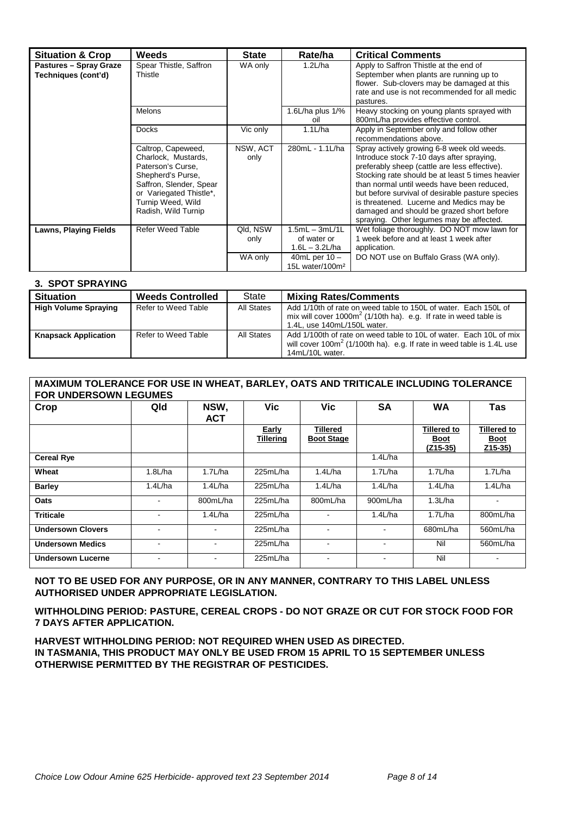| <b>Situation &amp; Crop</b>                          | <b>Weeds</b>                                                                                                                                                                          | <b>State</b>     | Rate/ha                                             | <b>Critical Comments</b>                                                                                                                                                                                                                                                                                                                                                                                                            |
|------------------------------------------------------|---------------------------------------------------------------------------------------------------------------------------------------------------------------------------------------|------------------|-----------------------------------------------------|-------------------------------------------------------------------------------------------------------------------------------------------------------------------------------------------------------------------------------------------------------------------------------------------------------------------------------------------------------------------------------------------------------------------------------------|
| <b>Pastures - Spray Graze</b><br>Techniques (cont'd) | Spear Thistle, Saffron<br>Thistle                                                                                                                                                     | WA only          | 1.2L/ha                                             | Apply to Saffron Thistle at the end of<br>September when plants are running up to<br>flower. Sub-clovers may be damaged at this<br>rate and use is not recommended for all medic<br>pastures.                                                                                                                                                                                                                                       |
|                                                      | <b>Melons</b>                                                                                                                                                                         |                  | 1.6L/ha plus $1\frac{9}{6}$<br>oil                  | Heavy stocking on young plants sprayed with<br>800mL/ha provides effective control.                                                                                                                                                                                                                                                                                                                                                 |
|                                                      | <b>Docks</b>                                                                                                                                                                          | Vic only         | 1.1L/ha                                             | Apply in September only and follow other<br>recommendations above.                                                                                                                                                                                                                                                                                                                                                                  |
|                                                      | Caltrop, Capeweed,<br>Charlock, Mustards,<br>Paterson's Curse,<br>Shepherd's Purse,<br>Saffron, Slender, Spear<br>or Variegated Thistle*,<br>Turnip Weed, Wild<br>Radish, Wild Turnip | NSW, ACT<br>only | 280mL - 1.1L/ha                                     | Spray actively growing 6-8 week old weeds.<br>Introduce stock 7-10 days after spraying,<br>preferably sheep (cattle are less effective).<br>Stocking rate should be at least 5 times heavier<br>than normal until weeds have been reduced,<br>but before survival of desirable pasture species<br>is threatened. Lucerne and Medics may be<br>damaged and should be grazed short before<br>spraying. Other legumes may be affected. |
| <b>Lawns, Playing Fields</b>                         | <b>Refer Weed Table</b>                                                                                                                                                               | Qld, NSW<br>only | $1.5mL - 3mL/1L$<br>of water or<br>$1.6L - 3.2L/ha$ | Wet foliage thoroughly. DO NOT mow lawn for<br>1 week before and at least 1 week after<br>application.                                                                                                                                                                                                                                                                                                                              |
|                                                      |                                                                                                                                                                                       | WA only          | 40mL per $10 -$<br>15L water/100m <sup>2</sup>      | DO NOT use on Buffalo Grass (WA only).                                                                                                                                                                                                                                                                                                                                                                                              |

#### **3. SPOT SPRAYING**

| <b>Situation</b>            | <b>Weeds Controlled</b> | State      | <b>Mixing Rates/Comments</b>                                                                                                                                          |
|-----------------------------|-------------------------|------------|-----------------------------------------------------------------------------------------------------------------------------------------------------------------------|
| <b>High Volume Spraying</b> | Refer to Weed Table     | All States | Add 1/10th of rate on weed table to 150L of water. Each 150L of<br>mix will cover $1000m^2$ (1/10th ha). e.g. If rate in weed table is<br>1.4L, use 140mL/150L water. |
| <b>Knapsack Application</b> | Refer to Weed Table     | All States | Add 1/100th of rate on weed table to 10L of water. Each 10L of mix<br>will cover $100m^2$ (1/100th ha). e.g. If rate in weed table is 1.4L use<br>14mL/10L water.     |

#### **MAXIMUM TOLERANCE FOR USE IN WHEAT, BARLEY, OATS AND TRITICALE INCLUDING TOLERANCE FOR UNDERSOWN LEGUMES**

| Crop                     | Qld     | NSW,<br><b>ACT</b> | <b>Vic</b>                | <b>Vic</b>                           | <b>SA</b>                | <b>WA</b>                                       | Tas                                           |
|--------------------------|---------|--------------------|---------------------------|--------------------------------------|--------------------------|-------------------------------------------------|-----------------------------------------------|
|                          |         |                    | Early<br><b>Tillering</b> | <b>Tillered</b><br><b>Boot Stage</b> |                          | <b>Tillered to</b><br><u>Boot</u><br>$(Z15-35)$ | <b>Tillered to</b><br><u>Boot</u><br>$Z15-35$ |
| <b>Cereal Rye</b>        |         |                    |                           |                                      | $1.4$ L/ha               |                                                 |                                               |
| Wheat                    | 1.8L/ha | 1.7L/ha            | 225mL/ha                  | 1.4L/ha                              | 1.7L/ha                  | 1.7L/ha                                         | 1.7L/ha                                       |
| <b>Barley</b>            | 1.4L/ha | $1.4$ L/ha         | 225mL/ha                  | $1.4$ L/ha                           | 1.4L/ha                  | 1.4L/ha                                         | 1.4L/ha                                       |
| Oats                     |         | 800mL/ha           | 225mL/ha                  | 800mL/ha                             | 900mL/ha                 | 1.3L/ha                                         | $\blacksquare$                                |
| <b>Triticale</b>         |         | 1.4L/ha            | 225mL/ha                  |                                      | 1.4L/ha                  | 1.7L/ha                                         | 800mL/ha                                      |
| <b>Undersown Clovers</b> |         |                    | 225mL/ha                  |                                      | $\blacksquare$           | 680mL/ha                                        | 560mL/ha                                      |
| <b>Undersown Medics</b>  |         |                    | 225mL/ha                  | ٠                                    | $\overline{\phantom{a}}$ | Nil                                             | 560mL/ha                                      |
| <b>Undersown Lucerne</b> |         |                    | 225mL/ha                  | -                                    | ۰                        | Nil                                             | ۰                                             |

#### **NOT TO BE USED FOR ANY PURPOSE, OR IN ANY MANNER, CONTRARY TO THIS LABEL UNLESS AUTHORISED UNDER APPROPRIATE LEGISLATION.**

**WITHHOLDING PERIOD: PASTURE, CEREAL CROPS - DO NOT GRAZE OR CUT FOR STOCK FOOD FOR 7 DAYS AFTER APPLICATION.**

**HARVEST WITHHOLDING PERIOD: NOT REQUIRED WHEN USED AS DIRECTED. IN TASMANIA, THIS PRODUCT MAY ONLY BE USED FROM 15 APRIL TO 15 SEPTEMBER UNLESS OTHERWISE PERMITTED BY THE REGISTRAR OF PESTICIDES.**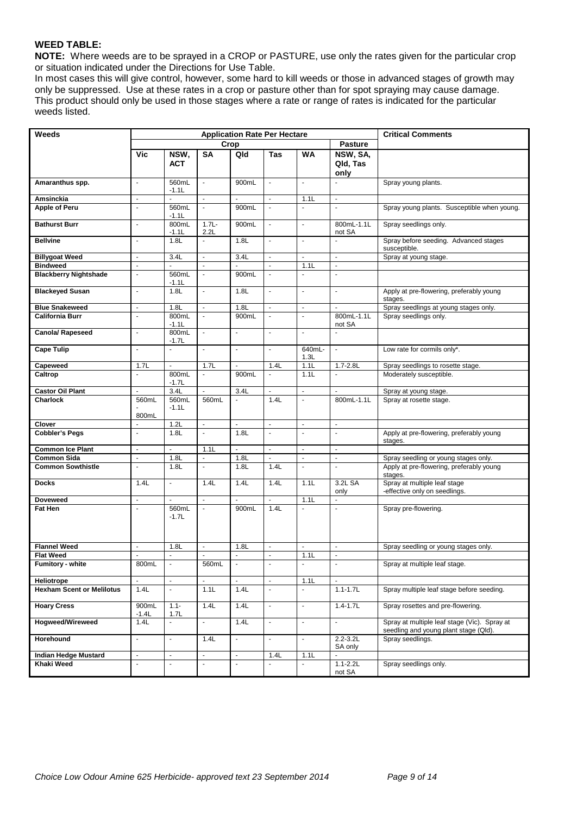#### **WEED TABLE:**

**NOTE:** Where weeds are to be sprayed in a CROP or PASTURE, use only the rates given for the particular crop or situation indicated under the Directions for Use Table.

In most cases this will give control, however, some hard to kill weeds or those in advanced stages of growth may only be suppressed. Use at these rates in a crop or pasture other than for spot spraying may cause damage. This product should only be used in those stages where a rate or range of rates is indicated for the particular weeds listed.

| Weeds                            | <b>Application Rate Per Hectare</b> |                    |                          |                |                             |                | <b>Critical Comments</b>     |                                                                                       |
|----------------------------------|-------------------------------------|--------------------|--------------------------|----------------|-----------------------------|----------------|------------------------------|---------------------------------------------------------------------------------------|
|                                  |                                     |                    |                          | Crop           |                             |                | <b>Pasture</b>               |                                                                                       |
|                                  | Vic                                 | NSW,<br><b>ACT</b> | <b>SA</b>                | Qld            | Tas                         | <b>WA</b>      | NSW, SA,<br>Qld, Tas<br>only |                                                                                       |
| Amaranthus spp.                  | $\omega$                            | 560mL<br>$-1.1L$   | $\blacksquare$           | 900mL          | $\mathcal{L}_{\mathcal{A}}$ | $\mathbf{r}$   | $\overline{a}$               | Spray young plants.                                                                   |
| Amsinckia                        | $\overline{\phantom{a}}$            |                    | ä,                       |                | $\omega$                    | 1.1L           | $\blacksquare$               |                                                                                       |
| Apple of Peru                    | $\Box$                              | 560mL<br>$-1.1L$   | ä,                       | 900mL          | $\omega$                    | $\omega$       | $\blacksquare$               | Spray young plants. Susceptible when young.                                           |
| <b>Bathurst Burr</b>             | $\overline{\phantom{a}}$            | 800mL<br>$-1.1L$   | $1.7L -$<br>2.2L         | 900mL          | $\blacksquare$              | $\blacksquare$ | 800mL-1.1L<br>not SA         | Spray seedlings only.                                                                 |
| <b>Bellvine</b>                  | $\Box$                              | 1.8L               | $\overline{\phantom{a}}$ | 1.8L           | $\blacksquare$              | $\blacksquare$ | $\blacksquare$               | Spray before seeding. Advanced stages<br>susceptible.                                 |
| <b>Billygoat Weed</b>            | $\overline{\phantom{a}}$            | 3.4L               | $\blacksquare$           | 3.4L           | $\blacksquare$              | $\blacksquare$ | $\overline{\phantom{a}}$     | Spray at young stage.                                                                 |
| <b>Bindweed</b>                  | $\overline{\phantom{a}}$            | ÷.                 | $\blacksquare$           | ä,             | $\blacksquare$              | 1.1L           | $\blacksquare$               |                                                                                       |
| <b>Blackberry Nightshade</b>     | $\overline{a}$                      | 560mL<br>$-1.1L$   | ä,                       | 900mL          |                             | $\blacksquare$ | $\overline{a}$               |                                                                                       |
| <b>Blackeyed Susan</b>           | $\blacksquare$                      | 1.8L               | $\blacksquare$           | 1.8L           | $\mathbf{r}$                | $\mathbf{r}$   | $\blacksquare$               | Apply at pre-flowering, preferably young<br>stages.                                   |
| <b>Blue Snakeweed</b>            | $\blacksquare$                      | 1.8L               | $\omega$                 | 1.8L           | $\omega$                    | $\blacksquare$ | $\mathbf{r}$                 | Spray seedlings at young stages only.                                                 |
| <b>California Burr</b>           | $\overline{\phantom{a}}$            | 800mL<br>$-1.1L$   | $\blacksquare$           | 900mL          | $\omega$                    | $\Box$         | 800mL-1.1L<br>not SA         | Spray seedlings only.                                                                 |
| <b>Canola/ Rapeseed</b>          | $\overline{\phantom{a}}$            | 800mL<br>$-1.7L$   | ÷.                       | $\blacksquare$ | $\omega$                    | $\mathbf{r}$   |                              |                                                                                       |
| <b>Cape Tulip</b>                | $\mathbf{r}$                        | $\omega$           | ä,                       | ÷.             | $\omega$                    | 640mL-<br>1.3L | $\blacksquare$               | Low rate for cormils only*.                                                           |
| Capeweed                         | 1.7L                                | $\blacksquare$     | 1.7L                     | $\blacksquare$ | 1.4L                        | 1.1L           | $1.7 - 2.8L$                 | Spray seedlings to rosette stage.                                                     |
| Caltrop                          | $\blacksquare$                      | 800mL<br>$-1.7L$   | ÷,                       | 900mL          | $\blacksquare$              | 1.1L           | $\blacksquare$               | Moderately susceptible.                                                               |
| <b>Castor Oil Plant</b>          | L.                                  | 3.4L               |                          | 3.4L           | $\omega$                    | $\blacksquare$ |                              | Spray at young stage.                                                                 |
| Charlock                         | 560mL<br>800mL                      | 560mL<br>$-1.1L$   | 560mL                    | $\blacksquare$ | 1.4L                        | $\blacksquare$ | 800mL-1.1L                   | Spray at rosette stage.                                                               |
| Clover                           | $\blacksquare$                      | 1.2L               | ÷.                       | ÷.             | $\mathbf{r}$                | $\mathbf{r}$   | $\blacksquare$               |                                                                                       |
| <b>Cobbler's Pegs</b>            | $\overline{a}$                      | 1.8L               | ä,                       | 1.8L           | $\sim$                      | ÷,             | $\overline{a}$               | Apply at pre-flowering, preferably young<br>stages.                                   |
| <b>Common Ice Plant</b>          | $\mathbf{r}$                        | $\mathbf{r}$       | 1.1L                     | $\blacksquare$ | $\omega$                    | $\mathbf{r}$   | $\Delta$                     |                                                                                       |
| <b>Common Sida</b>               | $\blacksquare$                      | 1.8L               | ÷.                       | 1.8L           | $\omega$                    | $\blacksquare$ | $\blacksquare$               | Spray seedling or young stages only.                                                  |
| <b>Common Sowthistle</b>         | $\Box$                              | 1.8L               | ä,                       | 1.8L           | 1.4L                        | $\blacksquare$ | $\blacksquare$               | Apply at pre-flowering, preferably young<br>stages.                                   |
| <b>Docks</b>                     | 1.4L                                | $\blacksquare$     | 1.4L                     | 1.4L           | 1.4L                        | 1.1L           | 3.2L SA<br>only              | Spray at multiple leaf stage<br>-effective only on seedlings.                         |
| <b>Doveweed</b>                  | $\mathbf{r}$                        | $\mathbf{r}$       | $\omega$                 | ÷.             | $\omega$                    | 1.1L           | $\blacksquare$               |                                                                                       |
| <b>Fat Hen</b>                   | $\overline{a}$                      | 560mL<br>$-1.7L$   | ä,                       | 900mL          | 1.4L                        | $\mathbf{r}$   | $\omega$                     | Spray pre-flowering.                                                                  |
| <b>Flannel Weed</b>              | ÷.                                  | 1.8L               | ÷.                       | 1.8L           | $\omega$                    | $\mathbf{r}$   | ä,                           | Spray seedling or young stages only.                                                  |
| <b>Flat Weed</b>                 | $\mathbf{r}$                        | $\mathbf{r}$       | $\mathbf{r}$             | $\mathbf{r}$   | $\omega$                    | 1.1L           | $\mathbf{r}$                 |                                                                                       |
| Fumitory - white                 | 800mL                               |                    | 560mL                    |                |                             |                |                              | Spray at multiple leaf stage.                                                         |
| <b>Heliotrope</b>                | $\blacksquare$                      | $\omega$           | $\blacksquare$           | $\blacksquare$ | $\omega$                    | 1.1L           | $\blacksquare$               |                                                                                       |
| <b>Hexham Scent or Melilotus</b> | 1.4L                                | $\blacksquare$     | 1.1L                     | 1.4L           | $\blacksquare$              | $\blacksquare$ | $1.1 - 1.7L$                 | Spray multiple leaf stage before seeding.                                             |
| <b>Hoary Cress</b>               | 900mL<br>$-1.4L$                    | $1.1 -$<br>1.7L    | 1.4L                     | 1.4L           | $\sim$                      | $\blacksquare$ | $1.4 - 1.7L$                 | Spray rosettes and pre-flowering.                                                     |
| <b>Hogweed/Wireweed</b>          | 1.4L                                | $\omega_{\rm c}$   | $\blacksquare$           | 1.4L           | $\omega_{\rm c}$            | $\blacksquare$ | $\blacksquare$               | Spray at multiple leaf stage (Vic). Spray at<br>seedling and young plant stage (Qld). |
| <b>Horehound</b>                 | $\blacksquare$                      | ÷.                 | 1.4L                     | $\blacksquare$ | $\omega_{\rm c}$            | $\blacksquare$ | $2.2 - 3.2L$<br>SA only      | Spray seedlings.                                                                      |
| <b>Indian Hedge Mustard</b>      | $\blacksquare$                      | $\blacksquare$     | $\blacksquare$           | $\blacksquare$ | 1.4L                        | 1.1L           | $\blacksquare$               |                                                                                       |
| Khaki Weed                       | $\blacksquare$                      | $\omega$           | $\blacksquare$           | $\omega$       |                             | $\omega$       | $1.1 - 2.2L$<br>not SA       | Spray seedlings only.                                                                 |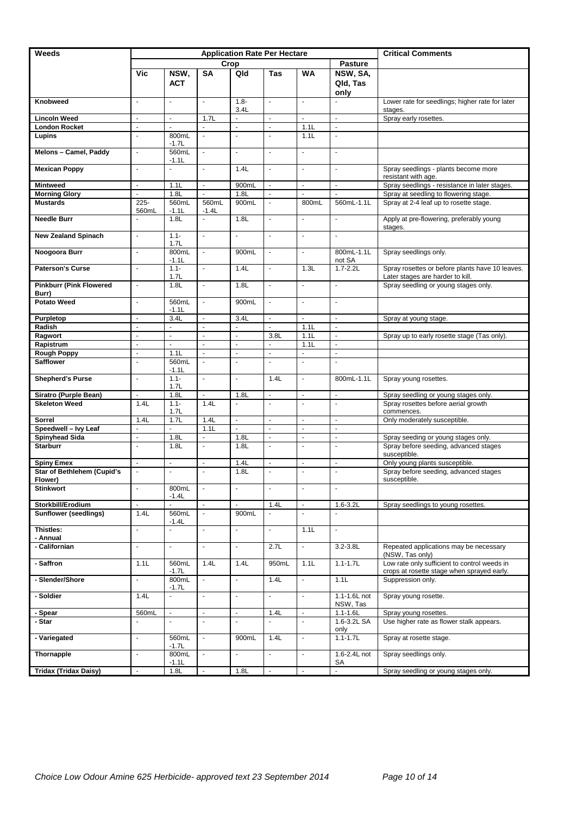| <b>Weeds</b>                                 | <b>Application Rate Per Hectare</b><br><b>Critical Comments</b> |                          |                     |                 |                |                      |                              |                                                                                            |
|----------------------------------------------|-----------------------------------------------------------------|--------------------------|---------------------|-----------------|----------------|----------------------|------------------------------|--------------------------------------------------------------------------------------------|
|                                              |                                                                 |                          | Crop                |                 |                |                      | <b>Pasture</b>               |                                                                                            |
|                                              | Vic                                                             | NSW,<br><b>ACT</b>       | <b>SA</b>           | Qld             | <b>Tas</b>     | <b>WA</b>            | NSW, SA,<br>Qld, Tas<br>only |                                                                                            |
| Knobweed                                     | $\blacksquare$                                                  | $\blacksquare$           | ÷.                  | $1.8 -$<br>3.4L | $\mathbf{r}$   | $\blacksquare$       | $\mathbf{r}$                 | Lower rate for seedlings; higher rate for later<br>stages.                                 |
| <b>Lincoln Weed</b>                          | ÷,                                                              | ÷,                       | 1.7L                | ä,              | $\blacksquare$ | ä,                   | $\overline{a}$               | Spray early rosettes.                                                                      |
| <b>London Rocket</b>                         | L.                                                              |                          |                     | $\overline{a}$  | $\sim$         | 1.1L                 | L.                           |                                                                                            |
| Lupins                                       | L.                                                              | 800mL<br>$-1.7L$         | ÷,                  | $\overline{a}$  | $\mathbf{r}$   | 1.1L                 | $\blacksquare$               |                                                                                            |
| Melons - Camel, Paddy                        | $\overline{\phantom{a}}$                                        | 560mL<br>$-1.1L$         | $\mathbf{r}$        | $\omega$        | $\sim$         | $\mathbf{r}$         | $\omega$                     |                                                                                            |
| <b>Mexican Poppy</b>                         | $\overline{\phantom{a}}$                                        | ÷,                       | $\mathbf{r}$        | 1.4L            | $\mathbf{r}$   | $\mathbf{r}$         | $\omega$                     | Spray seedlings - plants become more<br>resistant with age.                                |
| <b>Mintweed</b>                              | L.                                                              | 1.1L                     | ÷,                  | 900mL           | $\blacksquare$ | $\blacksquare$       | $\overline{a}$               | Spray seedlings - resistance in later stages.                                              |
| <b>Morning Glory</b>                         | $\overline{a}$                                                  | 1.8L                     | $\overline{a}$      | 1.8L            | $\blacksquare$ | ä,                   | $\overline{a}$               | Spray at seedling to flowering stage.                                                      |
| <b>Mustards</b>                              | 225-<br>560mL                                                   | 560mL<br>$-1.1L$         | 560mL<br>$-1.4L$    | 900mL           | $\mathbf{r}$   | 800mL                | 560mL-1.1L                   | Spray at 2-4 leaf up to rosette stage.                                                     |
| <b>Needle Burr</b>                           | $\mathbf{r}$                                                    | 1.8L                     | $\mathcal{L}^{\pm}$ | 1.8L            | $\omega$       | $\mathbf{r}$         | $\omega$                     | Apply at pre-flowering, preferably young<br>stages.                                        |
| <b>New Zealand Spinach</b>                   | $\omega$                                                        | $1.1 -$<br>1.7L          | $\Box$              | $\blacksquare$  | $\mathbf{r}$   | $\blacksquare$       | $\blacksquare$               |                                                                                            |
| Noogoora Burr                                | $\blacksquare$                                                  | 800mL<br>$-1.1L$         | L.                  | 900mL           | $\omega$       | $\omega$             | 800mL-1.1L<br>not SA         | Spray seedlings only.                                                                      |
| <b>Paterson's Curse</b>                      | $\overline{\phantom{a}}$                                        | $1.1 -$<br>1.7L          | ÷.                  | 1.4L            | $\mathbf{r}$   | 1.3L                 | $1.7 - 2.2L$                 | Spray rosettes or before plants have 10 leaves.<br>Later stages are harder to kill.        |
| <b>Pinkburr (Pink Flowered)</b><br>Burr)     | $\blacksquare$                                                  | 1.8L                     | $\blacksquare$      | 1.8L            | $\blacksquare$ | $\blacksquare$       | $\blacksquare$               | Spray seedling or young stages only.                                                       |
| <b>Potato Weed</b>                           | ÷.                                                              | 560mL<br>$-1.1L$         | $\blacksquare$      | 900mL           | $\mathbf{r}$   | $\mathbf{r}$         | $\omega$                     |                                                                                            |
| Purpletop                                    | $\overline{\phantom{a}}$                                        | 3.4L                     | ä,                  | 3.4L            | $\blacksquare$ | $\omega$             | $\overline{\phantom{a}}$     | Spray at young stage.                                                                      |
| Radish                                       | $\overline{\phantom{a}}$                                        | ÷,                       | ä,                  | L.              | $\blacksquare$ | 1.1L                 | $\omega$                     |                                                                                            |
| Ragwort                                      | $\overline{\phantom{a}}$                                        | L.                       | ä,                  | L,              | 3.8L           | 1.1L                 | $\blacksquare$               | Spray up to early rosette stage (Tas only).                                                |
| Rapistrum                                    | $\blacksquare$                                                  | ä,                       | $\blacksquare$      | L,              | $\Box$         | 1.1L                 | $\blacksquare$               |                                                                                            |
| <b>Rough Poppy</b>                           | $\blacksquare$                                                  | 1.1L                     | ÷,                  | L,              | $\blacksquare$ | ä,                   | $\blacksquare$               |                                                                                            |
| <b>Safflower</b>                             | $\blacksquare$                                                  | 560mL<br>$-1.1L$         | $\blacksquare$      | $\blacksquare$  | $\blacksquare$ | $\blacksquare$       | $\blacksquare$               |                                                                                            |
| <b>Shepherd's Purse</b>                      | $\blacksquare$                                                  | $1.1 -$<br>1.7L          | $\blacksquare$      | $\blacksquare$  | 1.4L           | $\blacksquare$       | 800mL-1.1L                   | Spray young rosettes.                                                                      |
| Siratro (Purple Bean)                        | $\omega$                                                        | 1.8L                     | ä,                  | 1.8L            | $\omega$       | $\blacksquare$       | $\mathbf{r}$                 | Spray seedling or young stages only.                                                       |
| <b>Skeleton Weed</b>                         | 1.4L                                                            | $1.1 -$<br>1.7L          | 1.4L                | L.              | $\sim$         | $\blacksquare$       | $\blacksquare$               | Spray rosettes before aerial growth<br>commences.                                          |
| <b>Sorrel</b>                                | 1.4L                                                            | 1.7L                     | 1.4L                | -               | $\blacksquare$ | $\ddot{\phantom{1}}$ | $\blacksquare$               | Only moderately susceptible.                                                               |
| Speedwell - Ivy Leaf                         | $\blacksquare$                                                  | ÷,                       | 1.1L                | $\overline{a}$  | ÷,             | $\blacksquare$       | $\blacksquare$               |                                                                                            |
| <b>Spinyhead Sida</b>                        | $\blacksquare$                                                  | 1.8L                     | ä,                  | 1.8L            | $\Box$         | ÷,                   | $\Box$                       | Spray seeding or young stages only.                                                        |
| <b>Starburr</b>                              | $\overline{\phantom{a}}$                                        | 1.8L                     | L.                  | 1.8L            | $\mathbf{r}$   | $\blacksquare$       | $\overline{\phantom{a}}$     | Spray before seeding, advanced stages<br>susceptible.                                      |
| <b>Spiny Emex</b>                            | $\overline{a}$                                                  | $\overline{a}$           | ä,                  | 1.4L            | $\mathbf{r}$   | $\sim$               | $\blacksquare$               | Only young plants susceptible.                                                             |
| <b>Star of Bethlehem (Cupid's</b><br>Flower) | L.                                                              | $\overline{\phantom{a}}$ | $\mathbf{r}$        | 1.8L            | $\sim$         | $\sim$               | $\mathbf{r}$                 | Spray before seeding, advanced stages<br>susceptible.                                      |
| <b>Stinkwort</b>                             | $\overline{a}$                                                  | 800mL<br>$-1.4L$         | $\blacksquare$      | $\Box$          | $\omega$       | $\Box$               | $\blacksquare$               |                                                                                            |
| Storkbill/Erodium                            | $\blacksquare$                                                  |                          | ÷.                  |                 | 1.4L           | $\blacksquare$       | $1.6 - 3.2L$                 | Spray seedlings to young rosettes.                                                         |
| <b>Sunflower (seedlings)</b>                 | 1.4L                                                            | 560mL<br>$-1.4L$         | $\omega$            | 900mL           | $\omega$       | $\blacksquare$       | $\mathbf{r}$                 |                                                                                            |
| Thistles:<br>- Annual                        | ä,                                                              | $\omega$                 | ä,                  | ä,              | $\blacksquare$ | 1.1L                 | $\blacksquare$               |                                                                                            |
| - Californian                                | $\blacksquare$                                                  | ä,                       | ä,                  | $\blacksquare$  | 2.7L           | $\blacksquare$       | $3.2 - 3.8$ L                | Repeated applications may be necessary<br>(NSW, Tas only)                                  |
| - Saffron                                    | 1.1L                                                            | 560mL<br>$-1.7L$         | 1.4L                | 1.4L            | 950mL          | 1.1L                 | $1.1 - 1.7L$                 | Low rate only sufficient to control weeds in<br>crops at rosette stage when sprayed early. |
| - Slender/Shore                              | $\blacksquare$                                                  | 800mL<br>$-1.7L$         | ä,                  | ä,              | 1.4L           | $\blacksquare$       | 1.1L                         | Suppression only.                                                                          |
| - Soldier                                    | 1.4L                                                            | ÷,                       | ä,                  | ä,              | $\omega$       | $\blacksquare$       | 1.1-1.6L not<br>NSW, Tas     | Spray young rosette.                                                                       |
| - Spear                                      | 560mL                                                           | $\blacksquare$           | ÷.                  | $\blacksquare$  | 1.4L           | $\blacksquare$       | $1.1 - 1.6L$                 | Spray young rosettes.                                                                      |
| - Star                                       | $\overline{\phantom{a}}$                                        | ÷,                       | $\mathbf{r}$        | $\mathbf{r}$    | $\omega$       | $\mathbf{r}$         | 1.6-3.2L SA<br>only          | Use higher rate as flower stalk appears.                                                   |
| - Variegated                                 | ä,                                                              | 560mL<br>$-1.7L$         | ÷,                  | 900mL           | 1.4L           | $\blacksquare$       | $1.1 - 1.7L$                 | Spray at rosette stage.                                                                    |
| Thornapple                                   | ä,                                                              | 800mL<br>$-1.1L$         | $\omega$            | ä,              | $\omega$       | $\omega$             | 1.6-2.4L not<br>SA           | Spray seedlings only.                                                                      |
| <b>Tridax (Tridax Daisy)</b>                 | $\omega$                                                        | 1.8L                     | $\omega$            | 1.8L            | $\omega$       | $\omega$             | $\omega_{\rm{eff}}$          | Spray seedling or young stages only.                                                       |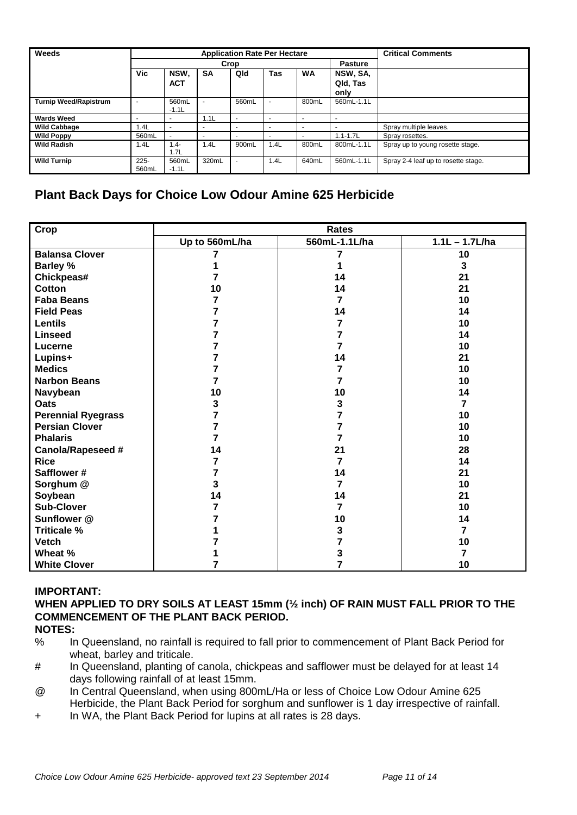| Weeds                        |                          |                    |           | <b>Application Rate Per Hectare</b> |                          |                          |                              | <b>Critical Comments</b>            |
|------------------------------|--------------------------|--------------------|-----------|-------------------------------------|--------------------------|--------------------------|------------------------------|-------------------------------------|
|                              |                          |                    |           | Crop                                |                          |                          | <b>Pasture</b>               |                                     |
|                              | <b>Vic</b>               | NSW.<br><b>ACT</b> | <b>SA</b> | Qld                                 | <b>Tas</b>               | <b>WA</b>                | NSW, SA,<br>Qld, Tas<br>only |                                     |
| <b>Turnip Weed/Rapistrum</b> |                          | 560mL<br>$-1.1L$   | ۰         | 560mL                               | ٠                        | 800mL                    | 560mL-1.1L                   |                                     |
| <b>Wards Weed</b>            | $\overline{\phantom{a}}$ |                    | 1.1L      | $\overline{\phantom{0}}$            | $\overline{\phantom{a}}$ | $\overline{\phantom{a}}$ |                              |                                     |
| <b>Wild Cabbage</b>          | 1.4L                     |                    |           |                                     |                          | $\overline{\phantom{0}}$ |                              | Spray multiple leaves.              |
| <b>Wild Poppy</b>            | 560mL                    | $\sim$             |           |                                     | $\overline{\phantom{a}}$ | $\overline{\phantom{0}}$ | $1.1 - 1.7L$                 | Spray rosettes.                     |
| <b>Wild Radish</b>           | 1.4L                     | $1.4 -$<br>1.7L    | 1.4L      | 900mL                               | 1.4L                     | 800mL                    | 800mL-1.1L                   | Spray up to young rosette stage.    |
| <b>Wild Turnip</b>           | $225 -$<br>560mL         | 560mL<br>$-1.1L$   | 320mL     | ۰                                   | 1.4L                     | 640mL                    | 560mL-1.1L                   | Spray 2-4 leaf up to rosette stage. |

## **Plant Back Days for Choice Low Odour Amine 625 Herbicide**

| Crop                      |                | <b>Rates</b>  |                  |
|---------------------------|----------------|---------------|------------------|
|                           | Up to 560mL/ha | 560mL-1.1L/ha | $1.1L - 1.7L/ha$ |
| <b>Balansa Clover</b>     |                | 7             | 10               |
| <b>Barley %</b>           |                |               | 3                |
| Chickpeas#                | 7              | 14            | 21               |
| <b>Cotton</b>             | 10             | 14            | 21               |
| <b>Faba Beans</b>         | 7              | 7             | 10               |
| <b>Field Peas</b>         | 7              | 14            | 14               |
| <b>Lentils</b>            | 7              | 7             | 10               |
| <b>Linseed</b>            | 7              | 7             | 14               |
| Lucerne                   | 7              | 7             | 10               |
| Lupins+                   | 7              | 14            | 21               |
| <b>Medics</b>             |                | 7             | 10               |
| <b>Narbon Beans</b>       |                | 7             | 10               |
| Navybean                  | 10             | 10            | 14               |
| <b>Oats</b>               | 3              | 3             | 7                |
| <b>Perennial Ryegrass</b> | 7              | 7             | 10               |
| <b>Persian Clover</b>     | 7              | 7             | 10               |
| <b>Phalaris</b>           | 7              | 7             | 10               |
| <b>Canola/Rapeseed #</b>  | 14             | 21            | 28               |
| <b>Rice</b>               | 7              | 7             | 14               |
| Safflower#                |                | 14            | 21               |
| Sorghum @                 | 3              | 7             | 10               |
| Soybean                   | 14             | 14            | 21               |
| <b>Sub-Clover</b>         | 7              | 7             | 10               |
| Sunflower @               |                | 10            | 14               |
| <b>Triticale %</b>        |                | 3             | 7                |
| <b>Vetch</b>              |                | 7             | 10               |
| Wheat %                   |                | 3             | 7                |
| <b>White Clover</b>       |                | 7             | 10               |

### **IMPORTANT:**

**WHEN APPLIED TO DRY SOILS AT LEAST 15mm (½ inch) OF RAIN MUST FALL PRIOR TO THE COMMENCEMENT OF THE PLANT BACK PERIOD.**

- **NOTES:**
- % In Queensland, no rainfall is required to fall prior to commencement of Plant Back Period for wheat, barley and triticale.
- # In Queensland, planting of canola, chickpeas and safflower must be delayed for at least 14 days following rainfall of at least 15mm.
- @ In Central Queensland, when using 800mL/Ha or less of Choice Low Odour Amine 625 Herbicide, the Plant Back Period for sorghum and sunflower is 1 day irrespective of rainfall.
- + In WA, the Plant Back Period for lupins at all rates is 28 days.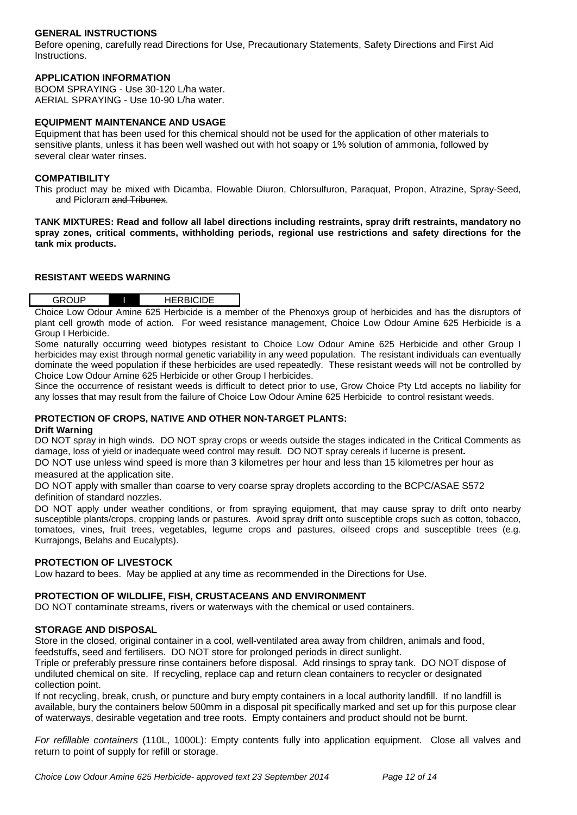#### **GENERAL INSTRUCTIONS**

Before opening, carefully read Directions for Use, Precautionary Statements, Safety Directions and First Aid Instructions.

## **APPLICATION INFORMATION**

BOOM SPRAYING - Use 30-120 L/ha water. AERIAL SPRAYING - Use 10-90 L/ha water.

#### **EQUIPMENT MAINTENANCE AND USAGE**

Equipment that has been used for this chemical should not be used for the application of other materials to sensitive plants, unless it has been well washed out with hot soapy or 1% solution of ammonia, followed by several clear water rinses.

#### **COMPATIBILITY**

This product may be mixed with Dicamba, Flowable Diuron, Chlorsulfuron, Paraquat, Propon, Atrazine, Spray-Seed, and Picloram and Tribunex.

**TANK MIXTURES: Read and follow all label directions including restraints, spray drift restraints, mandatory no spray zones, critical comments, withholding periods, regional use restrictions and safety directions for the tank mix products.**

#### **RESISTANT WEEDS WARNING**

| <b>GROUP</b> | <b>RBICIDE</b><br>ᅩ<br>___ |
|--------------|----------------------------|
|              |                            |

Choice Low Odour Amine 625 Herbicide is a member of the Phenoxys group of herbicides and has the disruptors of plant cell growth mode of action. For weed resistance management, Choice Low Odour Amine 625 Herbicide is a Group I Herbicide.

Some naturally occurring weed biotypes resistant to Choice Low Odour Amine 625 Herbicide and other Group I herbicides may exist through normal genetic variability in any weed population. The resistant individuals can eventually dominate the weed population if these herbicides are used repeatedly. These resistant weeds will not be controlled by Choice Low Odour Amine 625 Herbicide or other Group I herbicides.

Since the occurrence of resistant weeds is difficult to detect prior to use, Grow Choice Pty Ltd accepts no liability for any losses that may result from the failure of Choice Low Odour Amine 625 Herbicide to control resistant weeds.

#### **PROTECTION OF CROPS, NATIVE AND OTHER NON-TARGET PLANTS:**

#### **Drift Warning**

DO NOT spray in high winds. DO NOT spray crops or weeds outside the stages indicated in the Critical Comments as damage, loss of yield or inadequate weed control may result. DO NOT spray cereals if lucerne is present**.**

DO NOT use unless wind speed is more than 3 kilometres per hour and less than 15 kilometres per hour as measured at the application site.

DO NOT apply with smaller than coarse to very coarse spray droplets according to the BCPC/ASAE S572 definition of standard nozzles.

DO NOT apply under weather conditions, or from spraying equipment, that may cause spray to drift onto nearby susceptible plants/crops, cropping lands or pastures.Avoid spray drift onto susceptible crops such as cotton, tobacco, tomatoes, vines, fruit trees, vegetables, legume crops and pastures, oilseed crops and susceptible trees (e.g. Kurrajongs, Belahs and Eucalypts).

#### **PROTECTION OF LIVESTOCK**

Low hazard to bees. May be applied at any time as recommended in the Directions for Use.

#### **PROTECTION OF WILDLIFE, FISH, CRUSTACEANS AND ENVIRONMENT**

DO NOT contaminate streams, rivers or waterways with the chemical or used containers.

#### **STORAGE AND DISPOSAL**

Store in the closed, original container in a cool, well-ventilated area away from children, animals and food, feedstuffs, seed and fertilisers. DO NOT store for prolonged periods in direct sunlight.

Triple or preferably pressure rinse containers before disposal. Add rinsings to spray tank. DO NOT dispose of undiluted chemical on site. If recycling, replace cap and return clean containers to recycler or designated collection point.

If not recycling, break, crush, or puncture and bury empty containers in a local authority landfill. If no landfill is available, bury the containers below 500mm in a disposal pit specifically marked and set up for this purpose clear of waterways, desirable vegetation and tree roots. Empty containers and product should not be burnt.

*For refillable containers* (110L, 1000L): Empty contents fully into application equipment. Close all valves and return to point of supply for refill or storage.